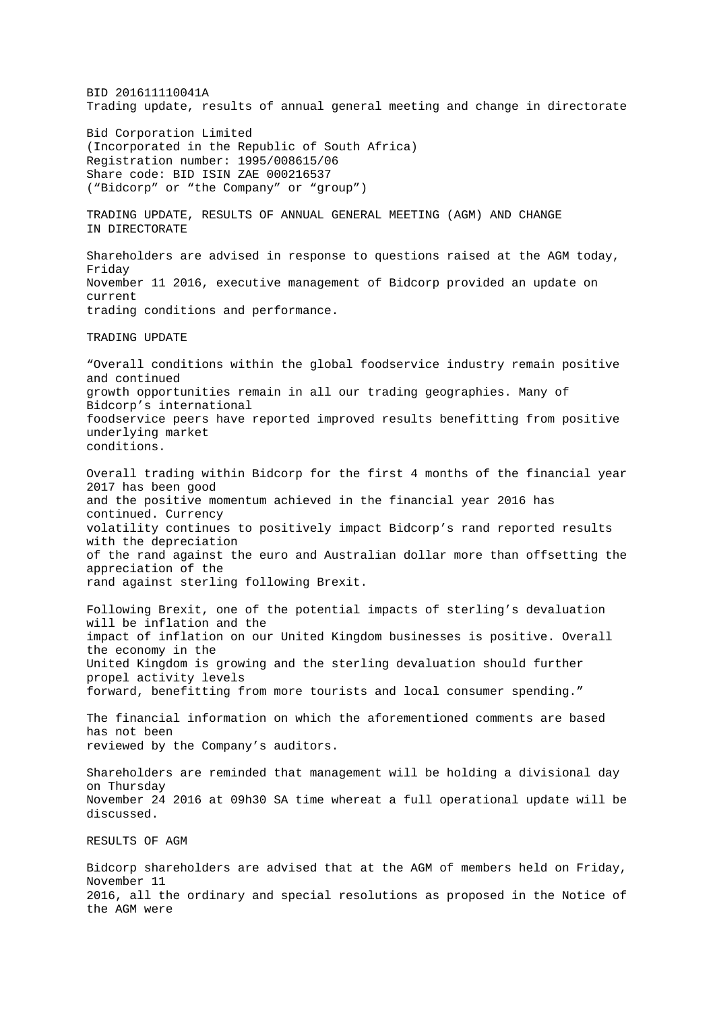BID 201611110041A Trading update, results of annual general meeting and change in directorate Bid Corporation Limited (Incorporated in the Republic of South Africa) Registration number: 1995/008615/06 Share code: BID ISIN ZAE 000216537 ("Bidcorp" or "the Company" or "group") TRADING UPDATE, RESULTS OF ANNUAL GENERAL MEETING (AGM) AND CHANGE IN DIRECTORATE Shareholders are advised in response to questions raised at the AGM today, Friday November 11 2016, executive management of Bidcorp provided an update on current trading conditions and performance. TRADING UPDATE "Overall conditions within the global foodservice industry remain positive and continued growth opportunities remain in all our trading geographies. Many of Bidcorp's international foodservice peers have reported improved results benefitting from positive underlying market conditions. Overall trading within Bidcorp for the first 4 months of the financial year 2017 has been good and the positive momentum achieved in the financial year 2016 has continued. Currency volatility continues to positively impact Bidcorp's rand reported results with the depreciation of the rand against the euro and Australian dollar more than offsetting the appreciation of the rand against sterling following Brexit. Following Brexit, one of the potential impacts of sterling's devaluation will be inflation and the impact of inflation on our United Kingdom businesses is positive. Overall the economy in the United Kingdom is growing and the sterling devaluation should further propel activity levels forward, benefitting from more tourists and local consumer spending." The financial information on which the aforementioned comments are based has not been reviewed by the Company's auditors. Shareholders are reminded that management will be holding a divisional day on Thursday November 24 2016 at 09h30 SA time whereat a full operational update will be discussed. RESULTS OF AGM Bidcorp shareholders are advised that at the AGM of members held on Friday, November 11 2016, all the ordinary and special resolutions as proposed in the Notice of the AGM were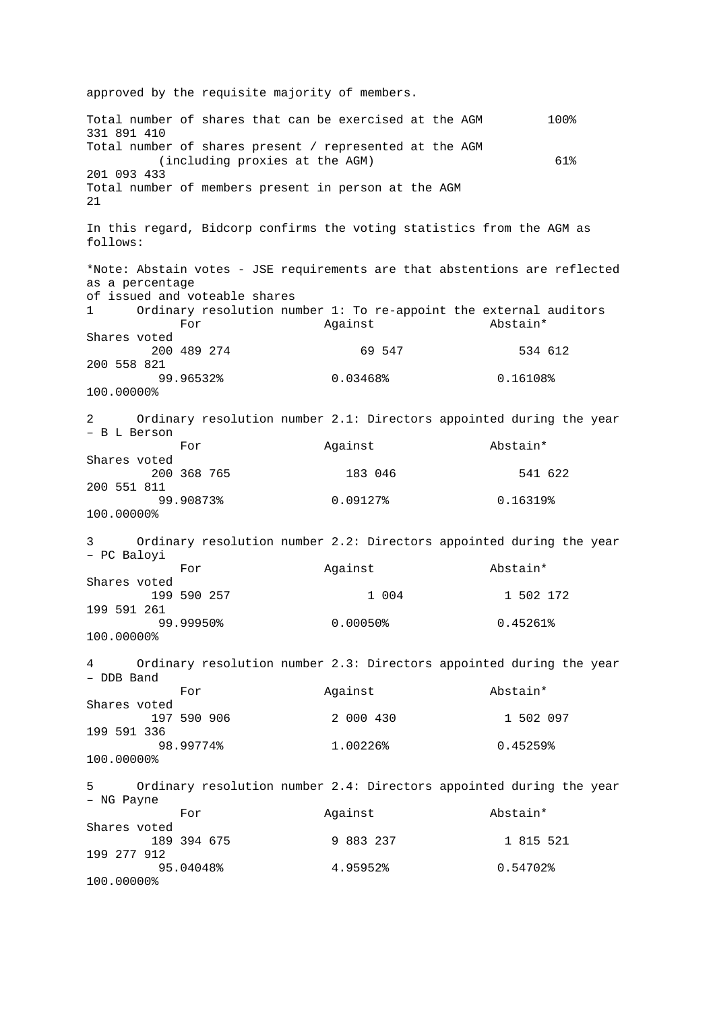approved by the requisite majority of members. Total number of shares that can be exercised at the AGM 100% 331 891 410 Total number of shares present / represented at the AGM (including proxies at the AGM) 61% 201 093 433 Total number of members present in person at the AGM 21 In this regard, Bidcorp confirms the voting statistics from the AGM as follows: \*Note: Abstain votes - JSE requirements are that abstentions are reflected as a percentage of issued and voteable shares<br>1 Ordinary resolution num Ordinary resolution number 1: To re-appoint the external auditors<br>For against and Abstain\* For Against Abstain\* Shares voted 200 489 274 69 547 534 612 200 558 821 99.96532% 0.03468% 0.16108% 100.00000% 2 Ordinary resolution number 2.1: Directors appointed during the year – B L Berson Against **Abstain\*** Shares voted 200 368 765 183 046 541 622 200 551 811 99.90873% 0.09127% 0.16319% 100.00000% 3 Ordinary resolution number 2.2: Directors appointed during the year – PC Baloyi For Against Abstain\* Shares voted 199 590 257 1 004 1 502 172 199 591 261 99.99950% 0.00050% 0.45261% 100.00000% 4 Ordinary resolution number 2.3: Directors appointed during the year – DDB Band For Against Abstain\* Shares voted 197 590 906 2 000 430 1 502 097 199 591 336 98.99774% 1.00226% 0.45259% 100.00000% 5 Ordinary resolution number 2.4: Directors appointed during the year – NG Payne For Against Abstain\* Shares voted 189 394 675 9 883 237 1 815 521 199 277 912 95.04048% 4.95952% 0.54702% 100.00000%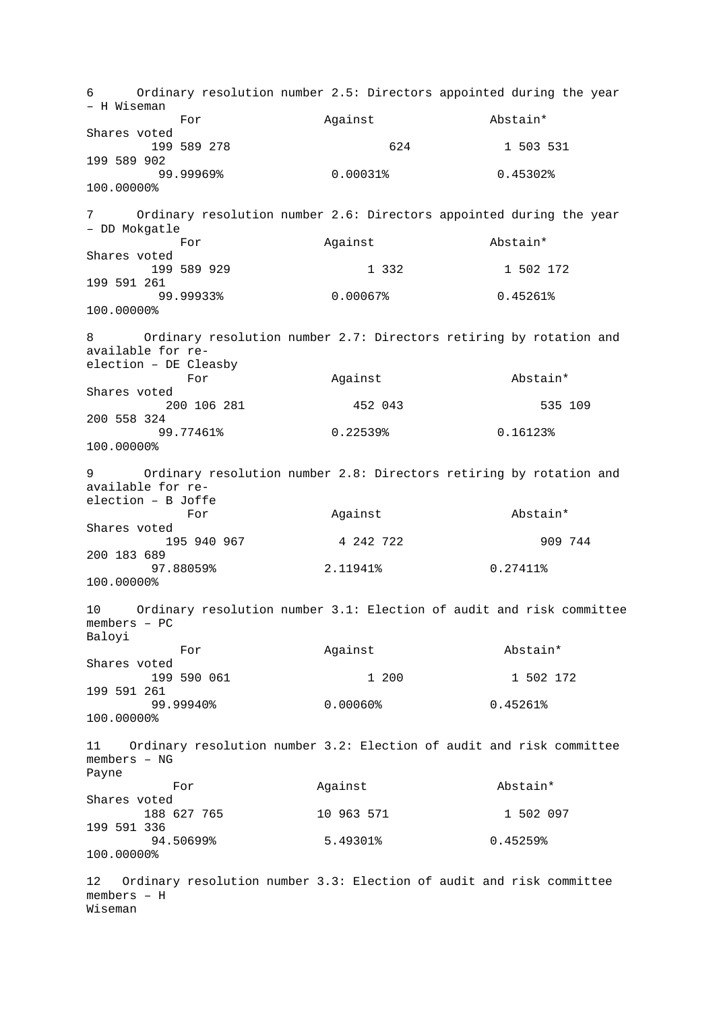6 Ordinary resolution number 2.5: Directors appointed during the year – H Wiseman For Against Abstain\* Shares voted 199 589 278 624 1 503 531 199 589 902 99.99969% 0.00031% 0.45302% 100.00000% 7 Ordinary resolution number 2.6: Directors appointed during the year – DD Mokgatle Against Abstain\* Shares voted 199 589 929 1 332 1 502 172 199 591 261 99.99933% 0.00067% 0.45261% 100.00000% Ordinary resolution number 2.7: Directors retiring by rotation and available for reelection – DE Cleasby Against **Abstain**\* Shares voted 200 106 281 452 043 535 109 200 558 324 99.77461% 0.22539% 0.16123% 100.00000% 9 Ordinary resolution number 2.8: Directors retiring by rotation and available for reelection – B Joffe For and Against abstain\* Shares voted 195 940 967 4 242 722 909 744 200 183 689 97.88059% 2.11941% 0.27411% 100.00000% 10 Ordinary resolution number 3.1: Election of audit and risk committee members – PC Baloyi For **Against** Abstain\* Shares voted 199 590 061 1 200 1 502 172 199 591 261 99.99940% 0.00060% 0.45261% 100.00000% 11 Ordinary resolution number 3.2: Election of audit and risk committee members – NG Payne For Against Abstain\* Shares voted 188 627 765 10 963 571 1 502 097 199 591 336 94.50699% 5.49301% 0.45259% 100.00000% 12 Ordinary resolution number 3.3: Election of audit and risk committee members – H

Wiseman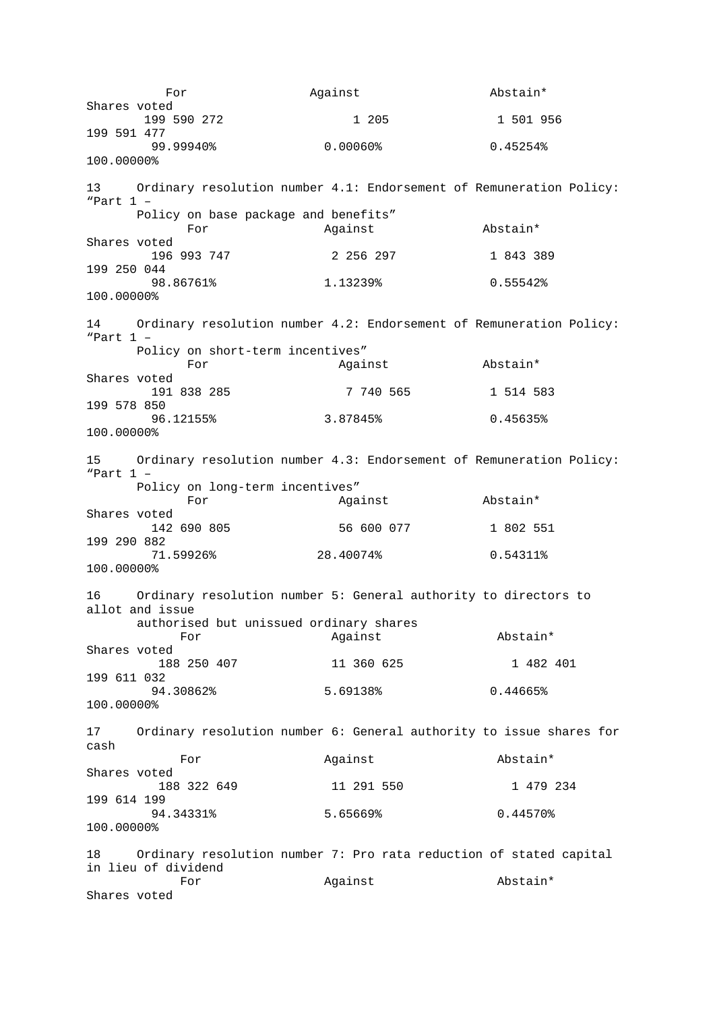For **Against** Abstain\* Shares voted 199 590 272 1 205 1 501 956 199 591 477 99.99940% 0.00060% 0.45254% 100.00000% 13 Ordinary resolution number 4.1: Endorsement of Remuneration Policy: "Part 1 – Policy on base package and benefits"<br>For Against For Against Abstain\* Shares voted 196 993 747 2 256 297 1 843 389 199 250 044 98.86761% 1.13239% 0.55542% 100.00000% 14 Ordinary resolution number 4.2: Endorsement of Remuneration Policy: "Part 1 – Policy on short-term incentives"<br>For against For Against Abstain\* Shares voted 191 838 285 7 740 565 1 514 583 199 578 850 96.12155% 3.87845% 0.45635% 100.00000% 15 Ordinary resolution number 4.3: Endorsement of Remuneration Policy: "Part 1 – Policy on long-term incentives" For Against Abstain\* Shares voted 142 690 805 56 600 077 1 802 551 199 290 882 71.59926% 28.40074% 0.54311% 100.00000% 16 Ordinary resolution number 5: General authority to directors to allot and issue authorised but unissued ordinary shares<br>For against For Against Abstain\* Shares voted 188 250 407 11 360 625 1 482 401 199 611 032 94.30862% 5.69138% 0.44665% 100.00000% 17 Ordinary resolution number 6: General authority to issue shares for cash For and Against Abstain\* Shares voted 188 322 649 11 291 550 1 479 234 199 614 199 94.34331% 5.65669% 0.44570% 100.00000% 18 Ordinary resolution number 7: Pro rata reduction of stated capital in lieu of dividend For Against Abstain\* Shares voted